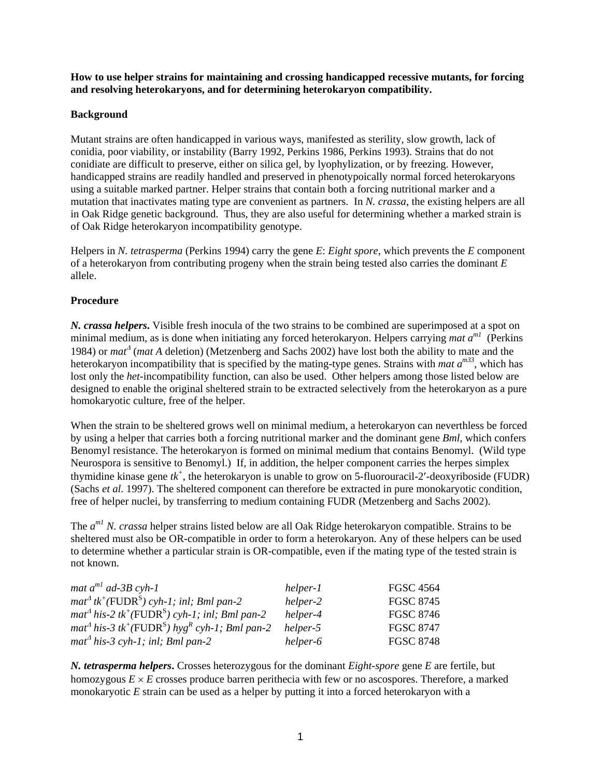**How to use helper strains for maintaining and crossing handicapped recessive mutants, for forcing and resolving heterokaryons, and for determining heterokaryon compatibility.** 

## **Background**

Mutant strains are often handicapped in various ways, manifested as sterility, slow growth, lack of conidia, poor viability, or instability (Barry 1992, Perkins 1986, Perkins 1993). Strains that do not conidiate are difficult to preserve, either on silica gel, by lyophylization, or by freezing. However, handicapped strains are readily handled and preserved in phenotypoically normal forced heterokaryons using a suitable marked partner. Helper strains that contain both a forcing nutritional marker and a mutation that inactivates mating type are convenient as partners. In *N. crassa*, the existing helpers are all in Oak Ridge genetic background. Thus, they are also useful for determining whether a marked strain is of Oak Ridge heterokaryon incompatibility genotype.

Helpers in *N. tetrasperma* (Perkins 1994) carry the gene *E*: *Eight spore*, which prevents the *E* component of a heterokaryon from contributing progeny when the strain being tested also carries the dominant *E* allele.

## **Procedure**

*N. crassa helpers***.** Visible fresh inocula of the two strains to be combined are superimposed at a spot on minimal medium, as is done when initiating any forced heterokaryon. Helpers carrying *mat a*<sup>m1</sup> (Perkins 1984) or *mat*<sup>∆</sup> (*mat A* deletion) (Metzenberg and Sachs 2002) have lost both the ability to mate and the heterokaryon incompatibility that is specified by the mating-type genes. Strains with *mat*  $a^{m33}$ , which has lost only the *het*-incompatibility function, can also be used. Other helpers among those listed below are designed to enable the original sheltered strain to be extracted selectively from the heterokaryon as a pure homokaryotic culture, free of the helper.

When the strain to be sheltered grows well on minimal medium, a heterokaryon can neverthless be forced by using a helper that carries both a forcing nutritional marker and the dominant gene *Bml*, which confers Benomyl resistance. The heterokaryon is formed on minimal medium that contains Benomyl. (Wild type Neurospora is sensitive to Benomyl.) If, in addition, the helper component carries the herpes simplex thymidine kinase gene  $tk^+$ , the heterokaryon is unable to grow on 5-fluorouracil-2'-deoxyriboside (FUDR) (Sachs *et al.* 1997). The sheltered component can therefore be extracted in pure monokaryotic condition, free of helper nuclei, by transferring to medium containing FUDR (Metzenberg and Sachs 2002).

The *a m1 N. crassa* helper strains listed below are all Oak Ridge heterokaryon compatible. Strains to be sheltered must also be OR-compatible in order to form a heterokaryon. Any of these helpers can be used to determine whether a particular strain is OR-compatible, even if the mating type of the tested strain is not known.

| mat $a^{m1}$ ad-3B cyh-1                                                                      | helper-1 | FGSC 4564        |
|-----------------------------------------------------------------------------------------------|----------|------------------|
| $mat^{\Delta}$ tk <sup>+</sup> (FUDR <sup>S</sup> ) cyh-1; inl; Bml pan-2                     | helper-2 | <b>FGSC 8745</b> |
| $m a t^{\Delta}$ his-2 tk <sup>+</sup> (FUDR <sup>S</sup> ) cyh-1; inl; Bml pan-2             | helper-4 | <b>FGSC 8746</b> |
| $m a t^{\Delta}$ his-3 tk <sup>+</sup> (FUDR <sup>S</sup> ) hyg <sup>R</sup> cyh-1; Bml pan-2 | helper-5 | <b>FGSC 8747</b> |
| $mat^{\Delta}$ his-3 cyh-1; inl; Bml pan-2                                                    | helper-6 | <b>FGSC 8748</b> |

*N. tetrasperma helpers***.** Crosses heterozygous for the dominant *Eight-spore* gene *E* are fertile, but homozygous  $E \times E$  crosses produce barren perithecia with few or no ascospores. Therefore, a marked monokaryotic *E* strain can be used as a helper by putting it into a forced heterokaryon with a